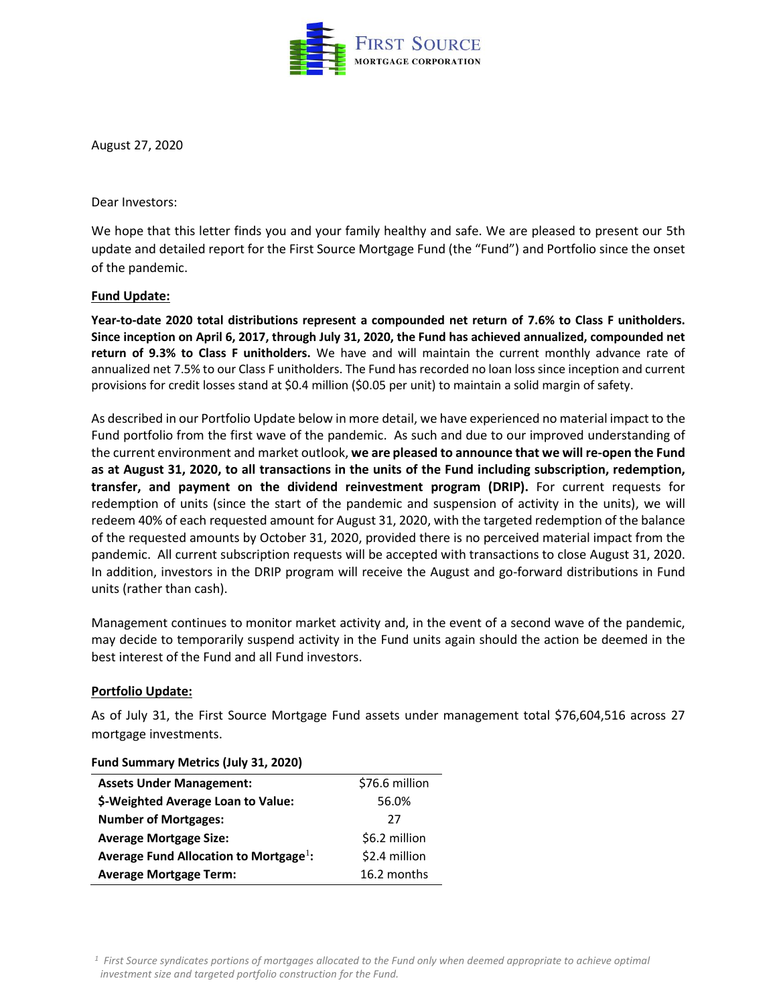

August 27, 2020

Dear Investors:

We hope that this letter finds you and your family healthy and safe. We are pleased to present our 5th update and detailed report for the First Source Mortgage Fund (the "Fund") and Portfolio since the onset of the pandemic.

## **Fund Update:**

**Year-to-date 2020 total distributions represent a compounded net return of 7.6% to Class F unitholders. Since inception on April 6, 2017, through July 31, 2020, the Fund has achieved annualized, compounded net return of 9.3% to Class F unitholders.** We have and will maintain the current monthly advance rate of annualized net 7.5% to our Class F unitholders. The Fund has recorded no loan loss since inception and current provisions for credit losses stand at \$0.4 million (\$0.05 per unit) to maintain a solid margin of safety.

As described in our Portfolio Update below in more detail, we have experienced no material impact to the Fund portfolio from the first wave of the pandemic. As such and due to our improved understanding of the current environment and market outlook, **we are pleased to announce that we will re-open the Fund as at August 31, 2020, to all transactions in the units of the Fund including subscription, redemption, transfer, and payment on the dividend reinvestment program (DRIP).** For current requests for redemption of units (since the start of the pandemic and suspension of activity in the units), we will redeem 40% of each requested amount for August 31, 2020, with the targeted redemption of the balance of the requested amounts by October 31, 2020, provided there is no perceived material impact from the pandemic. All current subscription requests will be accepted with transactions to close August 31, 2020. In addition, investors in the DRIP program will receive the August and go-forward distributions in Fund units (rather than cash).

Management continues to monitor market activity and, in the event of a second wave of the pandemic, may decide to temporarily suspend activity in the Fund units again should the action be deemed in the best interest of the Fund and all Fund investors.

# **Portfolio Update:**

As of July 31, the First Source Mortgage Fund assets under management total \$76,604,516 across 27 mortgage investments.

| $1$ and banning $\gamma$ ivietiles (Jary 31, 2020) |                |
|----------------------------------------------------|----------------|
| <b>Assets Under Management:</b>                    | \$76.6 million |
| \$-Weighted Average Loan to Value:                 | 56.0%          |
| <b>Number of Mortgages:</b>                        | 27             |
| <b>Average Mortgage Size:</b>                      | \$6.2 million  |
| Average Fund Allocation to Mortgage <sup>1</sup> : | \$2.4 million  |
| <b>Average Mortgage Term:</b>                      | 16.2 months    |

### **Fund Summary Metrics (July 31, 2020)**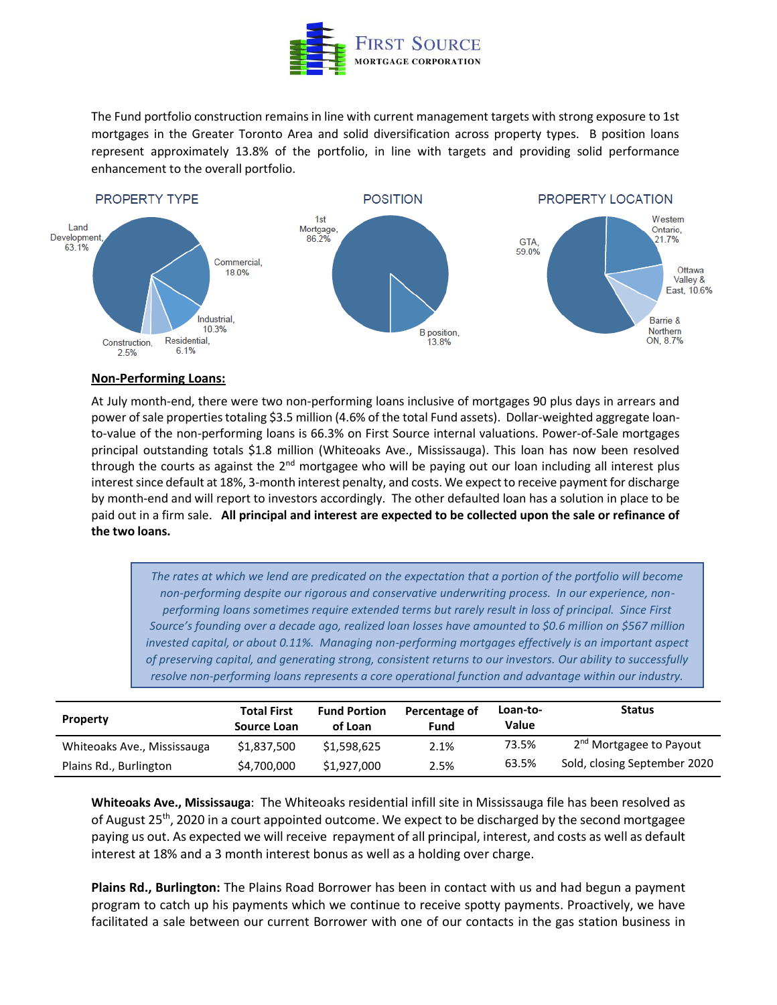

The Fund portfolio construction remains in line with current management targets with strong exposure to 1st mortgages in the Greater Toronto Area and solid diversification across property types. B position loans represent approximately 13.8% of the portfolio, in line with targets and providing solid performance enhancement to the overall portfolio.



### **Non-Performing Loans:**

At July month-end, there were two non-performing loans inclusive of mortgages 90 plus days in arrears and power of sale properties totaling \$3.5 million (4.6% of the total Fund assets). Dollar-weighted aggregate loanto-value of the non-performing loans is 66.3% on First Source internal valuations. Power-of-Sale mortgages principal outstanding totals \$1.8 million (Whiteoaks Ave., Mississauga). This loan has now been resolved through the courts as against the  $2<sup>nd</sup>$  mortgagee who will be paying out our loan including all interest plus interest since default at 18%, 3-month interest penalty, and costs. We expect to receive payment for discharge by month-end and will report to investors accordingly. The other defaulted loan has a solution in place to be paid out in a firm sale. **All principal and interest are expected to be collected upon the sale or refinance of the two loans.**

*The rates at which we lend are predicated on the expectation that a portion of the portfolio will become non-performing despite our rigorous and conservative underwriting process. In our experience, nonperforming loans sometimes require extended terms but rarely result in loss of principal. Since First Source's founding over a decade ago, realized loan losses have amounted to \$0.6 million on \$567 million invested capital, or about 0.11%. Managing non-performing mortgages effectively is an important aspect of preserving capital, and generating strong, consistent returns to our investors. Our ability to successfully resolve non-performing loans represents a core operational function and advantage within our industry.*

| <b>Property</b>             | <b>Total First</b><br>Source Loan | <b>Fund Portion</b><br>of Loan | Percentage of<br>Fund | Loan-to-<br>Value | <b>Status</b>                       |
|-----------------------------|-----------------------------------|--------------------------------|-----------------------|-------------------|-------------------------------------|
| Whiteoaks Ave., Mississauga | \$1.837.500                       | \$1,598,625                    | 2.1%                  | 73.5%             | 2 <sup>nd</sup> Mortgagee to Payout |
| Plains Rd., Burlington      | \$4,700,000                       | \$1,927,000                    | 2.5%                  | 63.5%             | Sold, closing September 2020        |

**Whiteoaks Ave., Mississauga**: The Whiteoaks residential infill site in Mississauga file has been resolved as of August 25<sup>th</sup>, 2020 in a court appointed outcome. We expect to be discharged by the second mortgagee paying us out. As expected we will receive repayment of all principal, interest, and costs as well as default interest at 18% and a 3 month interest bonus as well as a holding over charge.

**Plains Rd., Burlington:** The Plains Road Borrower has been in contact with us and had begun a payment program to catch up his payments which we continue to receive spotty payments. Proactively, we have facilitated a sale between our current Borrower with one of our contacts in the gas station business in